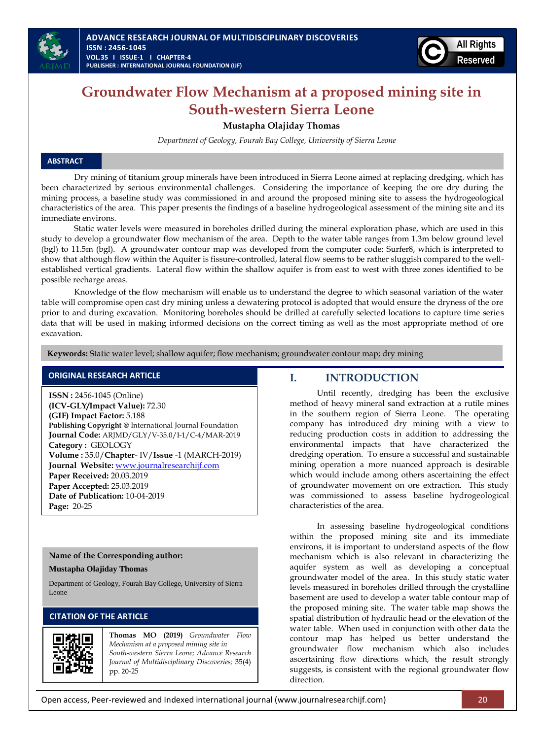



## **Groundwater Flow Mechanism at a proposed mining site in South-western Sierra Leone**

#### **Mustapha Olajiday Thomas**

*Department of Geology, Fourah Bay College, University of Sierra Leone* 

#### **ABSTRACT**

l.

Dry mining of titanium group minerals have been introduced in Sierra Leone aimed at replacing dredging, which has been characterized by serious environmental challenges. Considering the importance of keeping the ore dry during the mining process, a baseline study was commissioned in and around the proposed mining site to assess the hydrogeological characteristics of the area. This paper presents the findings of a baseline hydrogeological assessment of the mining site and its immediate environs.

 Static water levels were measured in boreholes drilled during the mineral exploration phase, which are used in this study to develop a groundwater flow mechanism of the area. Depth to the water table ranges from 1.3m below ground level (bgl) to 11.5m (bgl). A groundwater contour map was developed from the computer code: Surfer8, which is interpreted to show that although flow within the Aquifer is fissure-controlled, lateral flow seems to be rather sluggish compared to the wellestablished vertical gradients. Lateral flow within the shallow aquifer is from east to west with three zones identified to be possible recharge areas.

Knowledge of the flow mechanism will enable us to understand the degree to which seasonal variation of the water table will compromise open cast dry mining unless a dewatering protocol is adopted that would ensure the dryness of the ore prior to and during excavation. Monitoring boreholes should be drilled at carefully selected locations to capture time series data that will be used in making informed decisions on the correct timing as well as the most appropriate method of ore excavation.

 **Keywords:** Static water level; shallow aquifer; flow mechanism; groundwater contour map; dry mining

#### **ORIGINAL RESEARCH ARTICLE**

**ISSN :** 2456-1045 (Online) **(ICV-GLY/Impact Value):** 72.30 **(GIF) Impact Factor:** 5.188 **Publishing Copyright @** International Journal Foundation **Journal Code:** ARJMD/GLY/V-35.0/I-1/C-4/MAR-2019 **Category :** GEOLOGY **Volume :** 35.0/**Chapter**- IV/**Issue** -1 (MARCH-2019) **Journal Website:** [www.journalresearchijf.com](http://www.journalresearchijf.com/) **Paper Received:** 20.03.2019 **Paper Accepted:** 25.03.2019 **Date of Publication:** 10-04-2019 **Page:** 20-25

#### **Name of the Corresponding author:**

#### **Mustapha Olajiday Thomas**

Department of Geology, Fourah Bay College, University of Sierra Leone

## **CITATION OF THE ARTICLE**



**Thomas MO (2019)** *Groundwater Flow Mechanism at a proposed mining site in South-western Sierra Leone; Advance Research Journal of Multidisciplinary Discoveries;* 35(4) pp. 20-25

#### **I. INTRODUCTION**

Until recently, dredging has been the exclusive method of heavy mineral sand extraction at a rutile mines in the southern region of Sierra Leone. The operating company has introduced dry mining with a view to reducing production costs in addition to addressing the environmental impacts that have characterized the dredging operation. To ensure a successful and sustainable mining operation a more nuanced approach is desirable which would include among others ascertaining the effect of groundwater movement on ore extraction. This study was commissioned to assess baseline hydrogeological characteristics of the area.

In assessing baseline hydrogeological conditions within the proposed mining site and its immediate environs, it is important to understand aspects of the flow mechanism which is also relevant in characterizing the aquifer system as well as developing a conceptual groundwater model of the area. In this study static water levels measured in boreholes drilled through the crystalline basement are used to develop a water table contour map of the proposed mining site. The water table map shows the spatial distribution of hydraulic head or the elevation of the water table. When used in conjunction with other data the contour map has helped us better understand the groundwater flow mechanism which also includes ascertaining flow directions which, the result strongly suggests, is consistent with the regional groundwater flow direction.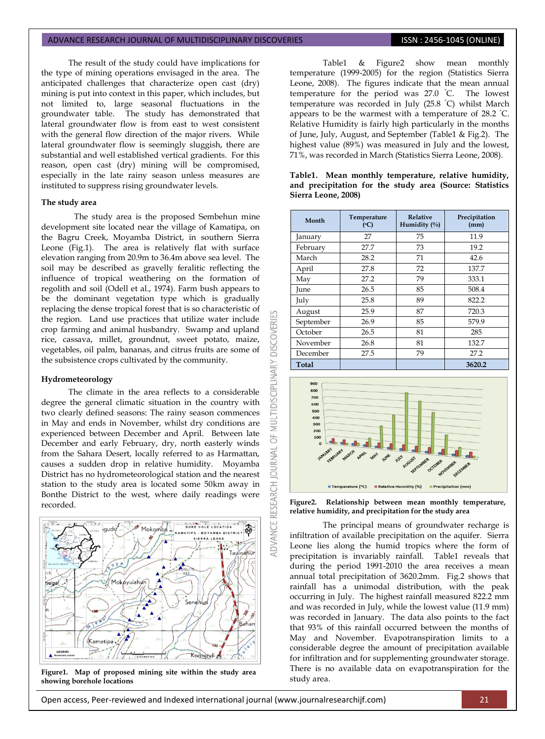The result of the study could have implications for the type of mining operations envisaged in the area. The anticipated challenges that characterize open cast (dry) mining is put into context in this paper, which includes, but not limited to, large seasonal fluctuations in the groundwater table. The study has demonstrated that lateral groundwater flow is from east to west consistent with the general flow direction of the major rivers. While lateral groundwater flow is seemingly sluggish, there are substantial and well established vertical gradients. For this reason, open cast (dry) mining will be compromised, especially in the late rainy season unless measures are instituted to suppress rising groundwater levels.

#### **The study area**

The study area is the proposed Sembehun mine development site located near the village of Kamatipa, on the Bagru Creek, Moyamba District, in southern Sierra Leone (Fig.1). The area is relatively flat with surface elevation ranging from 20.9m to 36.4m above sea level. The soil may be described as gravelly feralitic reflecting the influence of tropical weathering on the formation of regolith and soil (Odell et al., 1974). Farm bush appears to be the dominant vegetation type which is gradually replacing the dense tropical forest that is so characteristic of the region. Land use practices that utilize water include crop farming and animal husbandry. Swamp and upland rice, cassava, millet, groundnut, sweet potato, maize, vegetables, oil palm, bananas, and citrus fruits are some of the subsistence crops cultivated by the community.

#### **Hydrometeorology**

The climate in the area reflects to a considerable degree the general climatic situation in the country with two clearly defined seasons: The rainy season commences in May and ends in November, whilst dry conditions are experienced between December and April. Between late December and early February, dry, north easterly winds from the Sahara Desert, locally referred to as Harmattan, causes a sudden drop in relative humidity. Moyamba District has no hydrometeorological station and the nearest station to the study area is located some 50km away in Bonthe District to the west, where daily readings were recorded.



**Figure1. Map of proposed mining site within the study area showing borehole locations**

Table1 & Figure2 show mean monthly temperature (1999-2005) for the region (Statistics Sierra Leone, 2008). The figures indicate that the mean annual temperature for the period was 27.0 °C. The lowest temperature was recorded in July  $(25.8 \degree C)$  whilst March appears to be the warmest with a temperature of  $28.2$  °C. Relative Humidity is fairly high particularly in the months of June, July, August, and September (Table1 & Fig.2). The highest value (89%) was measured in July and the lowest, 71%, was recorded in March (Statistics Sierra Leone, 2008).

**Table1. Mean monthly temperature, relative humidity,** 

| Month         | Temperature<br>(C) | <b>Relative</b><br>Humidity $(\%)$ | Precipitation<br>(mm)          |  |  |
|---------------|--------------------|------------------------------------|--------------------------------|--|--|
| 27<br>January |                    | 75                                 | 11.9                           |  |  |
| February      | 27.7               | 73                                 | 19.2<br>42.6<br>137.7<br>333.1 |  |  |
| March         | 28.2               | 71                                 |                                |  |  |
| April         | 27.8               | 72                                 |                                |  |  |
| May           | 27.2               | 79                                 |                                |  |  |
| June          | 26.5               | 85                                 | 508.4                          |  |  |
| July          | 25.8               | 89                                 | 822.2                          |  |  |
| August        | 25.9               | 87                                 | 720.3<br>579.9                 |  |  |
| September     | 26.9               | 85                                 |                                |  |  |
| October       | 26.5               | 81                                 | 285                            |  |  |
| November      | 26.8               |                                    | 132.7                          |  |  |
| December      | 27.5               | 79                                 | 27.2                           |  |  |
| Total         |                    |                                    | 3620.2                         |  |  |



**Figure2. Relationship between mean monthly temperature, relative humidity, and precipitation for the study area**

The principal means of groundwater recharge is infiltration of available precipitation on the aquifer. Sierra Leone lies along the humid tropics where the form of precipitation is invariably rainfall. Table1 reveals that during the period 1991-2010 the area receives a mean annual total precipitation of 3620.2mm. Fig.2 shows that rainfall has a unimodal distribution, with the peak occurring in July. The highest rainfall measured 822.2 mm and was recorded in July, while the lowest value (11.9 mm) was recorded in January. The data also points to the fact that 93% of this rainfall occurred between the months of May and November. Evapotranspiration limits to a considerable degree the amount of precipitation available for infiltration and for supplementing groundwater storage. There is no available data on evapotranspiration for the study area.

# **and precipitation for the study area (Source: Statistics Sierra Leone, 2008)**

**DISCOVERI** 

**MULTIDISCIPLINARY** 

5

**JOURNAL** 

**IDVANCE RESEARCH**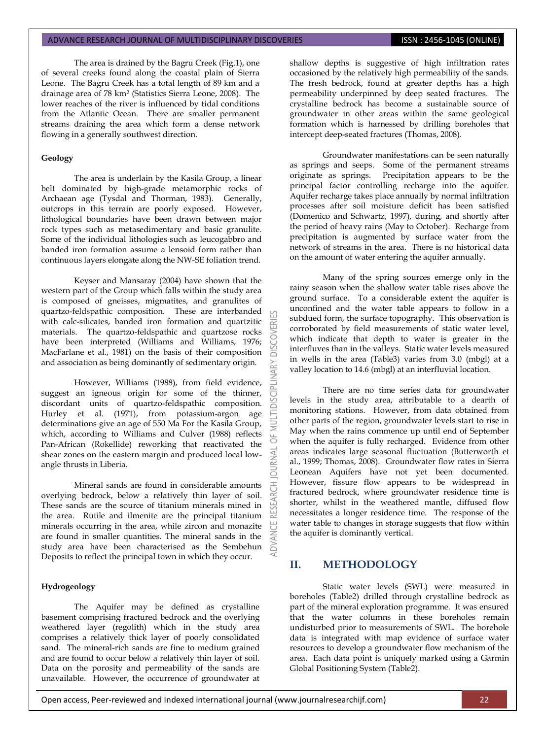The area is drained by the Bagru Creek (Fig.1), one of several creeks found along the coastal plain of Sierra Leone. The Bagru Creek has a total length of 89 km and a drainage area of 78 km<sup>2</sup> (Statistics Sierra Leone, 2008). The lower reaches of the river is influenced by tidal conditions from the Atlantic Ocean. There are smaller permanent streams draining the area which form a dense network flowing in a generally southwest direction.

#### **Geology**

The area is underlain by the Kasila Group, a linear belt dominated by high-grade metamorphic rocks of Archaean age (Tysdal and Thorman, 1983). Generally, outcrops in this terrain are poorly exposed. However, lithological boundaries have been drawn between major rock types such as metasedimentary and basic granulite. Some of the individual lithologies such as leucogabbro and banded iron formation assume a lensoid form rather than continuous layers elongate along the NW-SE foliation trend.

Keyser and Mansaray (2004) have shown that the western part of the Group which falls within the study area is composed of gneisses, migmatites, and granulites of quartzo-feldspathic composition. These are interbanded with calc-silicates, banded iron formation and quartzitic materials. The quartzo-feldspathic and quartzose rocks have been interpreted (Williams and Williams, 1976; MacFarlane et al., 1981) on the basis of their composition and association as being dominantly of sedimentary origin.

However, Williams (1988), from field evidence, suggest an igneous origin for some of the thinner, discordant units of quartzo-feldspathic composition. Hurley et al. (1971), from potassium-argon age determinations give an age of 550 Ma For the Kasila Group, which, according to Williams and Culver (1988) reflects Pan-African (Rokellide) reworking that reactivated the shear zones on the eastern margin and produced local lowangle thrusts in Liberia.

Mineral sands are found in considerable amounts overlying bedrock, below a relatively thin layer of soil. These sands are the source of titanium minerals mined in the area. Rutile and ilmenite are the principal titanium minerals occurring in the area, while zircon and monazite are found in smaller quantities. The mineral sands in the study area have been characterised as the Sembehun Deposits to reflect the principal town in which they occur.

#### **Hydrogeology**

The Aquifer may be defined as crystalline basement comprising fractured bedrock and the overlying weathered layer (regolith) which in the study area comprises a relatively thick layer of poorly consolidated sand. The mineral-rich sands are fine to medium grained and are found to occur below a relatively thin layer of soil. Data on the porosity and permeability of the sands are unavailable. However, the occurrence of groundwater at

shallow depths is suggestive of high infiltration rates occasioned by the relatively high permeability of the sands. The fresh bedrock, found at greater depths has a high permeability underpinned by deep seated fractures. The crystalline bedrock has become a sustainable source of groundwater in other areas within the same geological formation which is harnessed by drilling boreholes that intercept deep-seated fractures (Thomas, 2008).

Groundwater manifestations can be seen naturally as springs and seeps. Some of the permanent streams originate as springs. Precipitation appears to be the principal factor controlling recharge into the aquifer. Aquifer recharge takes place annually by normal infiltration processes after soil moisture deficit has been satisfied (Domenico and Schwartz, 1997), during, and shortly after the period of heavy rains (May to October). Recharge from precipitation is augmented by surface water from the network of streams in the area. There is no historical data on the amount of water entering the aquifer annually.

Many of the spring sources emerge only in the rainy season when the shallow water table rises above the ground surface. To a considerable extent the aquifer is unconfined and the water table appears to follow in a subdued form, the surface topography. This observation is corroborated by field measurements of static water level, which indicate that depth to water is greater in the interfluves than in the valleys. Static water levels measured in wells in the area (Table3) varies from 3.0 (mbgl) at a valley location to 14.6 (mbgl) at an interfluvial location.

There are no time series data for groundwater levels in the study area, attributable to a dearth of monitoring stations. However, from data obtained from other parts of the region, groundwater levels start to rise in May when the rains commence up until end of September when the aquifer is fully recharged. Evidence from other areas indicates large seasonal fluctuation (Butterworth et al., 1999; Thomas, 2008). Groundwater flow rates in Sierra Leonean Aquifers have not yet been documented. However, fissure flow appears to be widespread in fractured bedrock, where groundwater residence time is shorter, whilst in the weathered mantle, diffused flow necessitates a longer residence time. The response of the water table to changes in storage suggests that flow within the aquifer is dominantly vertical.

#### **II. METHODOLOGY**

Ά

Static water levels (SWL) were measured in boreholes (Table2) drilled through crystalline bedrock as part of the mineral exploration programme. It was ensured that the water columns in these boreholes remain undisturbed prior to measurements of SWL. The borehole data is integrated with map evidence of surface water resources to develop a groundwater flow mechanism of the area. Each data point is uniquely marked using a Garmin Global Positioning System (Table2).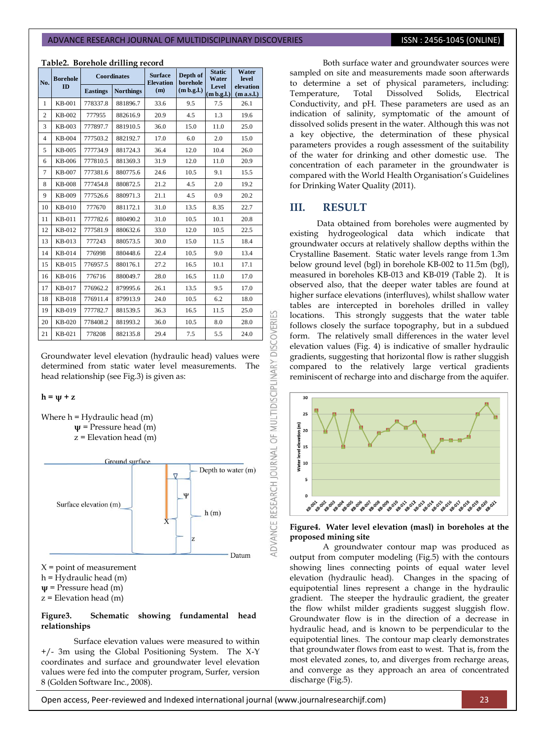#### **Table2. Borehole drilling record**

| No.            | <b>Borehole</b><br><b>ID</b> |                 | <b>Coordinates</b> | <b>Surface</b><br><b>Elevation</b> | Depth of<br>borehole | <b>Static</b><br>Water | Water<br>level<br>elevation<br>(m a.s.l.) |  |
|----------------|------------------------------|-----------------|--------------------|------------------------------------|----------------------|------------------------|-------------------------------------------|--|
|                |                              | <b>Eastings</b> | <b>Northings</b>   | (m)                                | (m b.g.l.)           | Level<br>(m b.g.l.)    |                                           |  |
| $\mathbf{1}$   | <b>KB-001</b>                | 778337.8        | 881896.7           | 33.6                               | 9.5                  | 7.5                    | 26.1                                      |  |
| $\overline{c}$ | KB-002                       | 777955          | 882616.9           | 20.9                               | 4.5                  | 1.3                    | 19.6                                      |  |
| 3              | KB-003                       | 777897.7        | 881910.5           | 36.0                               | 15.0                 | 11.0                   | 25.0                                      |  |
| $\overline{4}$ | KB-004                       | 777503.2        | 882192.7           | 17.0                               | 6.0                  | 2.0                    | 15.0                                      |  |
| 5              | KB-005                       | 777734.9        | 881724.3           | 36.4                               | 12.0                 | 10.4                   | 26.0                                      |  |
| 6              | KB-006                       | 777810.5        | 881369.3           | 31.9                               | 12.0                 | 11.0                   | 20.9                                      |  |
| $\overline{7}$ | <b>KB-007</b>                | 777381.6        | 880775.6           | 24.6                               | 10.5                 | 9.1                    | 15.5                                      |  |
| 8              | <b>KB-008</b>                | 777454.8        | 880872.5           | 21.2                               | 4.5                  | 2.0                    | 19.2                                      |  |
| 9              | KB-009                       | 777526.6        | 880971.3           | 21.1                               | 4.5                  | 0.9                    | 20.2                                      |  |
| 10             | <b>KB-010</b>                | 777670          | 881172.1           | 31.0                               | 13.5                 | 8.35                   | 22.7                                      |  |
| 11             | KB-011                       | 777782.6        | 880490.2           | 31.0                               | 10.5                 | 10.1                   | 20.8                                      |  |
| 12             | KB-012                       | 777581.9        | 880632.6           | 33.0                               | 12.0                 | 10.5                   | 22.5                                      |  |
| 13             | KB-013                       | 777243          | 880573.5           | 30.0                               | 15.0                 | 11.5                   | 18.4                                      |  |
| 14             | KB-014                       | 776998          | 880448.6           | 22.4                               | 10.5                 | 9.0                    | 13.4                                      |  |
| 15             | KB-015                       | 776957.5        | 880176.1           | 27.2                               | 16.5                 | 10.1                   | 17.1                                      |  |
| 16             | KB-016                       | 776716          | 880049.7           | 28.0                               | 16.5                 | 11.0                   | 17.0                                      |  |
| 17             | KB-017                       | 776962.2        | 879995.6           | 26.1                               | 13.5                 | 9.5                    | 17.0                                      |  |
| 18             | KB-018                       | 776911.4        | 879913.9           | 24.0                               | 10.5                 | 6.2                    | 18.0                                      |  |
| 19             | KB-019                       | 777782.7        | 881539.5           | 36.3                               | 16.5                 | 11.5                   | 25.0                                      |  |
| 20             | KB-020                       | 778408.2        | 881993.2           | 36.0                               | 10.5                 | 8.0                    | 28.0                                      |  |
| 21             | KB-021                       | 778208          | 882135.8           | 29.4                               | 7.5                  | 5.5                    | 24.0                                      |  |

Groundwater level elevation (hydraulic head) values were determined from static water level measurements. The head relationship (see Fig.3) is given as:

#### $h = w + z$





**ψ** = Pressure head (m)

z = Elevation head (m)

#### **Figure3. Schematic showing fundamental head relationships**

Surface elevation values were measured to within +/- 3m using the Global Positioning System. The X-Y coordinates and surface and groundwater level elevation values were fed into the computer program, Surfer, version 8 (Golden Software Inc., 2008).

Both surface water and groundwater sources were sampled on site and measurements made soon afterwards to determine a set of physical parameters, including: Temperature, Total Dissolved Solids, Electrical Conductivity, and pH. These parameters are used as an indication of salinity, symptomatic of the amount of dissolved solids present in the water. Although this was not a key objective, the determination of these physical parameters provides a rough assessment of the suitability of the water for drinking and other domestic use. The concentration of each parameter in the groundwater is compared with the World Health Organisation's Guidelines for Drinking Water Quality (2011).

#### **III. RESULT**

53

**DISCOVERI** 

ADVANCE RESEARCH JOURNAL OF MULTIDISCIPLINARY

Data obtained from boreholes were augmented by existing hydrogeological data which indicate that groundwater occurs at relatively shallow depths within the Crystalline Basement. Static water levels range from 1.3m below ground level (bgl) in borehole KB-002 to 11.5m (bgl), measured in boreholes KB-013 and KB-019 (Table 2). It is observed also, that the deeper water tables are found at higher surface elevations (interfluves), whilst shallow water tables are intercepted in boreholes drilled in valley locations. This strongly suggests that the water table follows closely the surface topography, but in a subdued form. The relatively small differences in the water level elevation values (Fig. 4) is indicative of smaller hydraulic gradients, suggesting that horizontal flow is rather sluggish compared to the relatively large vertical gradients reminiscent of recharge into and discharge from the aquifer.





A groundwater contour map was produced as output from computer modeling (Fig.5) with the contours showing lines connecting points of equal water level elevation (hydraulic head). Changes in the spacing of equipotential lines represent a change in the hydraulic gradient. The steeper the hydraulic gradient, the greater the flow whilst milder gradients suggest sluggish flow. Groundwater flow is in the direction of a decrease in hydraulic head, and is known to be perpendicular to the equipotential lines. The contour map clearly demonstrates that groundwater flows from east to west. That is, from the most elevated zones, to, and diverges from recharge areas, and converge as they approach an area of concentrated discharge (Fig.5).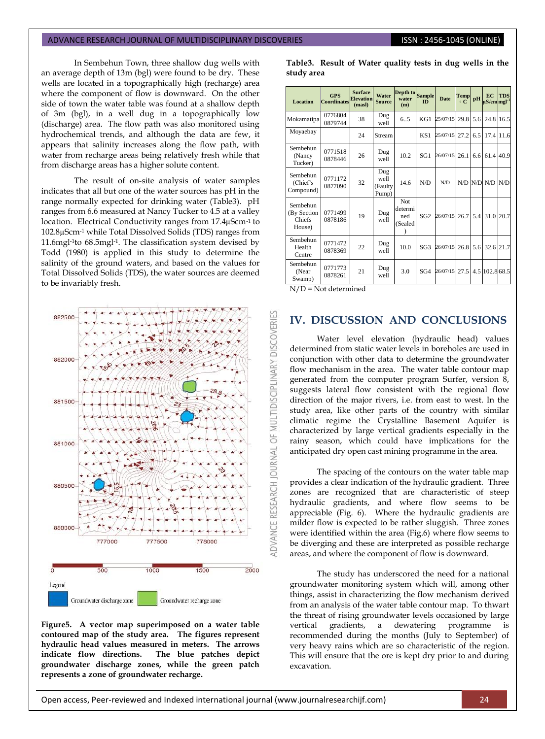In Sembehun Town, three shallow dug wells with an average depth of 13m (bgl) were found to be dry. These wells are located in a topographically high (recharge) area where the component of flow is downward. On the other side of town the water table was found at a shallow depth of 3m (bgl), in a well dug in a topographically low (discharge) area. The flow path was also monitored using hydrochemical trends, and although the data are few, it appears that salinity increases along the flow path, with water from recharge areas being relatively fresh while that from discharge areas has a higher solute content.

The result of on-site analysis of water samples indicates that all but one of the water sources has pH in the range normally expected for drinking water (Table3). pH ranges from 6.6 measured at Nancy Tucker to 4.5 at a valley location. Electrical Conductivity ranges from 17.4µScm-1 to 102.8µScm-1 while Total Dissolved Solids (TDS) ranges from 11.6mgl-1to 68.5mgl-1. The classification system devised by Todd (1980) is applied in this study to determine the salinity of the ground waters, and based on the values for Total Dissolved Solids (TDS), the water sources are deemed to be invariably fresh.



**Figure5. A vector map superimposed on a water table contoured map of the study area. The figures represent hydraulic head values measured in meters. The arrows indicate flow directions. The blue patches depict groundwater discharge zones, while the green patch represents a zone of groundwater recharge.**

**Table3. Result of Water quality tests in dug wells in the study area**

| Location                                    | <b>GPS</b><br><b>Coordinates</b> | <b>Surface</b><br><b>Elevation</b><br>(masl) | Water<br><b>Source</b>          | Depth to<br>water<br>(m)          | <b>Sample</b><br><b>ID</b> | <b>Date</b>   | <b>Temp</b><br>$\circ$ C | pH  | EC<br>$\mu$ S/cm mgl $^{-1}$ | <b>TDS</b> |
|---------------------------------------------|----------------------------------|----------------------------------------------|---------------------------------|-----------------------------------|----------------------------|---------------|--------------------------|-----|------------------------------|------------|
| Mokamatipa                                  | 0776804<br>0879744               | 38                                           | Dug<br>well                     | 6.5                               | KG1                        | 25/07/15      | 29.8                     | 5.6 | 24.8 16.5                    |            |
| Moyaebay                                    |                                  | 24                                           | Stream                          |                                   | KS1                        | 25/07/15      | 27.2                     | 6.5 | 17.4 11.6                    |            |
| Sembehun<br>(Nancy<br>Tucker)               | 0771518<br>0878446               | 26                                           | Dug<br>well                     | 10.2                              | SG1                        | 26/07/15      | 26.1                     | 6.6 | 61.4 40.9                    |            |
| Sembehun<br>(Chief's)<br>Compound)          | 0771172<br>0877090               | 32                                           | Dug<br>well<br>(Faulty<br>Pump) | 14.6                              | N/D                        | N/D           |                          |     | N/D N/D N/D                  | N/D        |
| Sembehun<br>(By Section<br>Chiefs<br>House) | 0771499<br>0878186               | 19                                           | Dug<br>well                     | Not.<br>determi<br>ned<br>(Sealed | SG <sub>2</sub>            | 26/07/15      | 26.7                     | 5.4 | 31.0 20.7                    |            |
| Sembehun<br>Health<br>Centre                | 0771472<br>0878369               | 22                                           | Dug<br>well                     | 10.0                              | SG <sub>3</sub>            | 26/07/15      | 26.8                     | 5.6 | 32.6 21.7                    |            |
| Sembehun<br>(Near<br>Swamp)                 | 0771773<br>0878261               | 21                                           | Dug<br>well                     | 3.0                               | SG4                        | 26/07/15 27.5 |                          |     | 4.5 102.8 68.5               |            |

N/D = Not determined

## **IV. DISCUSSION AND CONCLUSIONS**

Water level elevation (hydraulic head) values determined from static water levels in boreholes are used in conjunction with other data to determine the groundwater flow mechanism in the area. The water table contour map generated from the computer program Surfer, version  $\overline{8}$ , suggests lateral flow consistent with the regional flow direction of the major rivers, i.e. from east to west. In the study area, like other parts of the country with similar climatic regime the Crystalline Basement Aquifer is characterized by large vertical gradients especially in the rainy season, which could have implications for the anticipated dry open cast mining programme in the area.

The spacing of the contours on the water table map provides a clear indication of the hydraulic gradient. Three zones are recognized that are characteristic of steep hydraulic gradients, and where flow seems to be appreciable (Fig. 6). Where the hydraulic gradients are milder flow is expected to be rather sluggish. Three zones were identified within the area (Fig.6) where flow seems to be diverging and these are interpreted as possible recharge areas, and where the component of flow is downward.

The study has underscored the need for a national groundwater monitoring system which will, among other things, assist in characterizing the flow mechanism derived from an analysis of the water table contour map. To thwart the threat of rising groundwater levels occasioned by large vertical gradients, a dewatering programme is recommended during the months (July to September) of very heavy rains which are so characteristic of the region. This will ensure that the ore is kept dry prior to and during excavation.